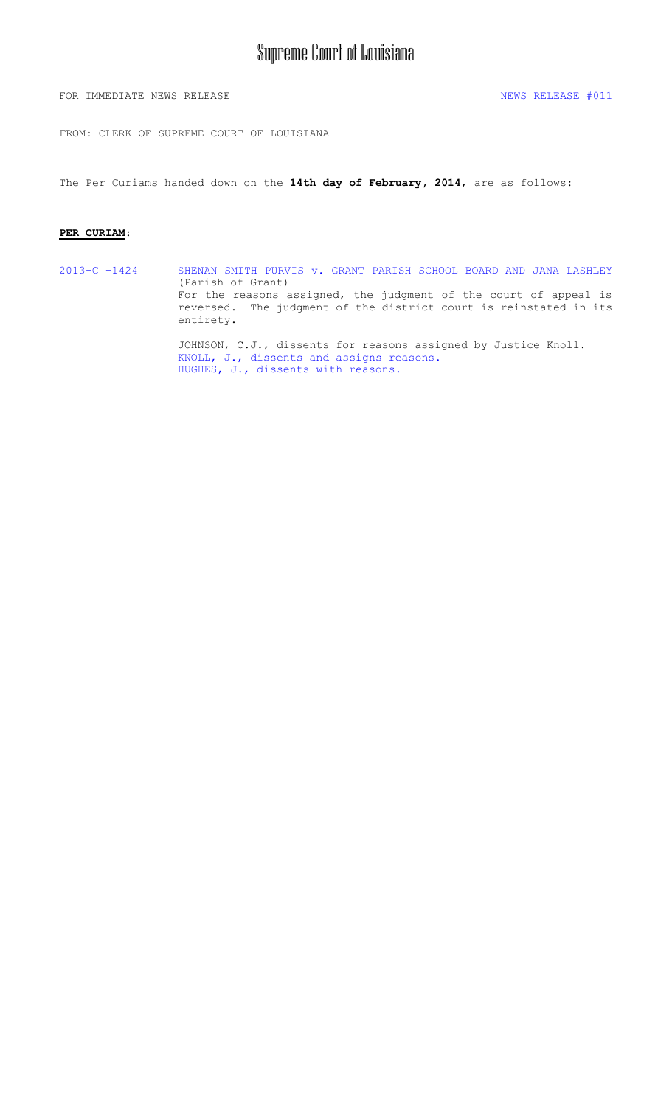# Supreme Court of Louisiana

FOR IMMEDIATE NEWS RELEASE NEWS RELEASE  $\#011$ 

FROM: CLERK OF SUPREME COURT OF LOUISIANA

The Per Curiams handed down on the **14th day of February, 2014**, are as follows:

#### **PER CURIAM**:

2013-C -1424 [SHENAN SMITH PURVIS v. GRANT PARISH SCHOOL BOARD AND JANA LASHLEY](#page-1-0)  (Parish of Grant) For the reasons assigned, the judgment of the court of appeal is reversed. The judgment of the district court is reinstated in its entirety. JOHNSON, C.J., dissents for reasons assigned by Justice Knoll.

KNOLL, J., dissents [and assigns reasons.](#page-10-0) [HUGHES, J., dissents with reasons.](#page-15-0)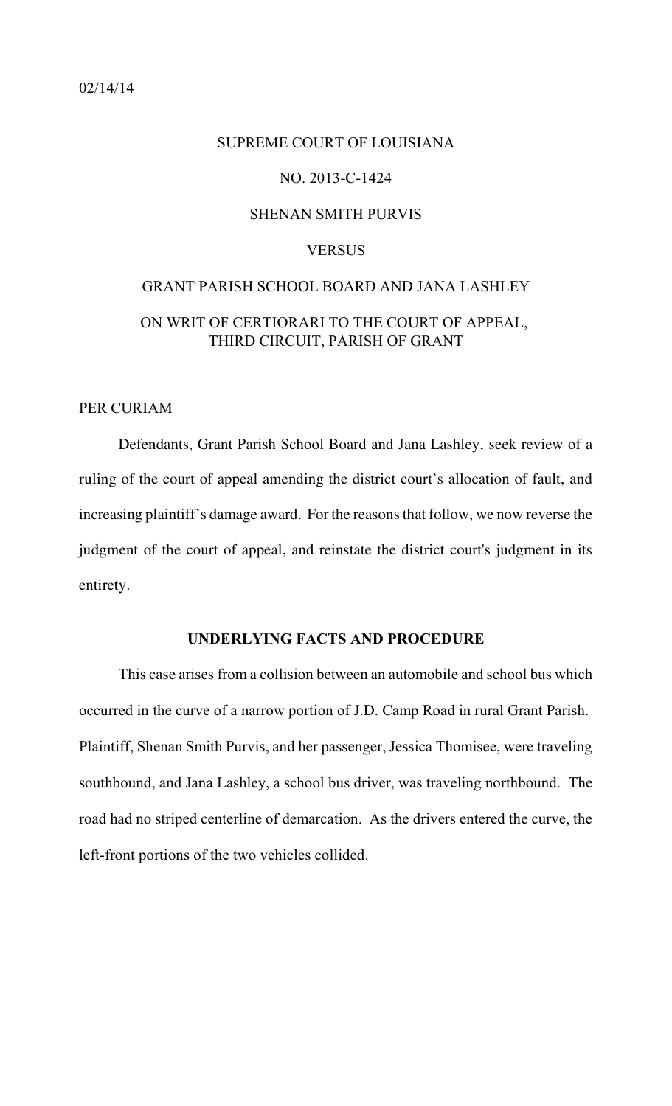# <span id="page-1-0"></span>SUPREME COURT OF LOUISIANA NO. 2013-C-1424 SHENAN SMITH PURVIS **VERSUS** GRANT PARISH SCHOOL BOARD AND JANA LASHLEY

# ON WRIT OF CERTIORARI TO THE COURT OF APPEAL, THIRD CIRCUIT, PARISH OF GRANT

#### PER CURIAM

Defendants, Grant Parish School Board and Jana Lashley, seek review of a ruling of the court of appeal amending the district court's allocation of fault, and increasing plaintiff's damage award. For the reasons that follow, we now reverse the judgment of the court of appeal, and reinstate the district court's judgment in its entirety.

#### **UNDERLYING FACTS AND PROCEDURE**

This case arises from a collision between an automobile and school bus which occurred in the curve of a narrow portion of J.D. Camp Road in rural Grant Parish. Plaintiff, Shenan Smith Purvis, and her passenger, Jessica Thomisee, were traveling southbound, and Jana Lashley, a school bus driver, was traveling northbound. The road had no striped centerline of demarcation. As the drivers entered the curve, the left-front portions of the two vehicles collided.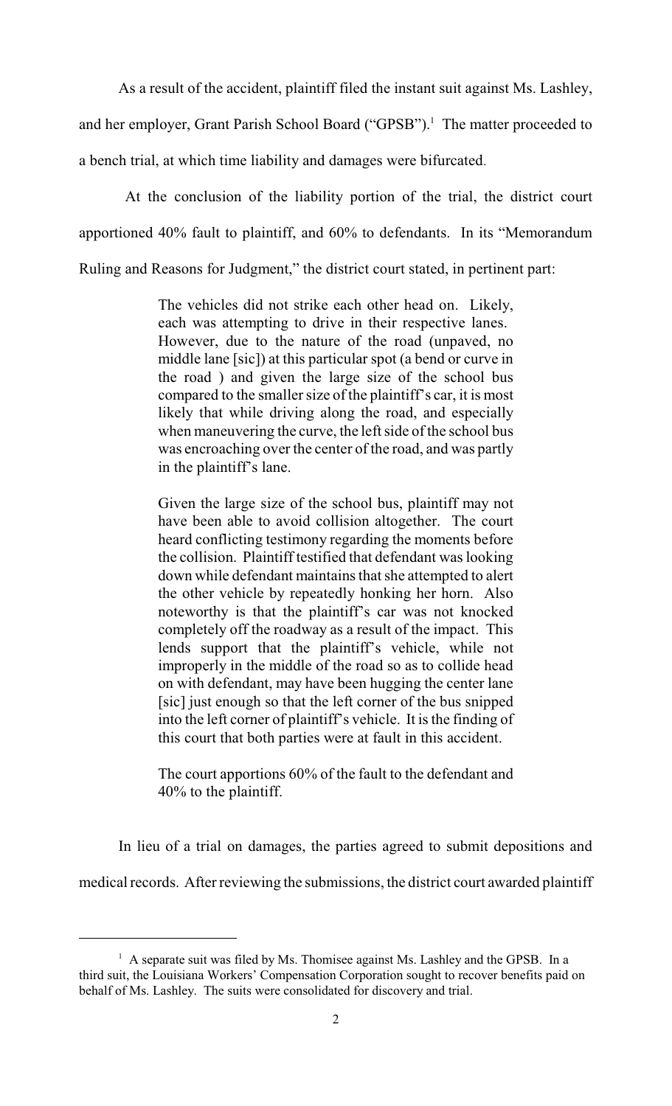As a result of the accident, plaintiff filed the instant suit against Ms. Lashley,

and her employer, Grant Parish School Board ("GPSB").<sup>1</sup> The matter proceeded to

a bench trial, at which time liability and damages were bifurcated.

At the conclusion of the liability portion of the trial, the district court apportioned 40% fault to plaintiff, and 60% to defendants. In its "Memorandum Ruling and Reasons for Judgment," the district court stated, in pertinent part:

> The vehicles did not strike each other head on. Likely, each was attempting to drive in their respective lanes. However, due to the nature of the road (unpaved, no middle lane [sic]) at this particular spot (a bend or curve in the road ) and given the large size of the school bus compared to the smaller size of the plaintiff's car, it is most likely that while driving along the road, and especially when maneuvering the curve, the left side of the school bus was encroaching over the center of the road, and was partly in the plaintiff's lane.

> Given the large size of the school bus, plaintiff may not have been able to avoid collision altogether. The court heard conflicting testimony regarding the moments before the collision. Plaintiff testified that defendant was looking down while defendant maintains that she attempted to alert the other vehicle by repeatedly honking her horn. Also noteworthy is that the plaintiff's car was not knocked completely off the roadway as a result of the impact. This lends support that the plaintiff's vehicle, while not improperly in the middle of the road so as to collide head on with defendant, may have been hugging the center lane [sic] just enough so that the left corner of the bus snipped into the left corner of plaintiff's vehicle. It isthe finding of this court that both parties were at fault in this accident.

> The court apportions 60% of the fault to the defendant and 40% to the plaintiff.

In lieu of a trial on damages, the parties agreed to submit depositions and

medical records. After reviewing the submissions, the district court awarded plaintiff

 $A$  separate suit was filed by Ms. Thomisee against Ms. Lashley and the GPSB. In a third suit, the Louisiana Workers' Compensation Corporation sought to recover benefits paid on behalf of Ms. Lashley. The suits were consolidated for discovery and trial.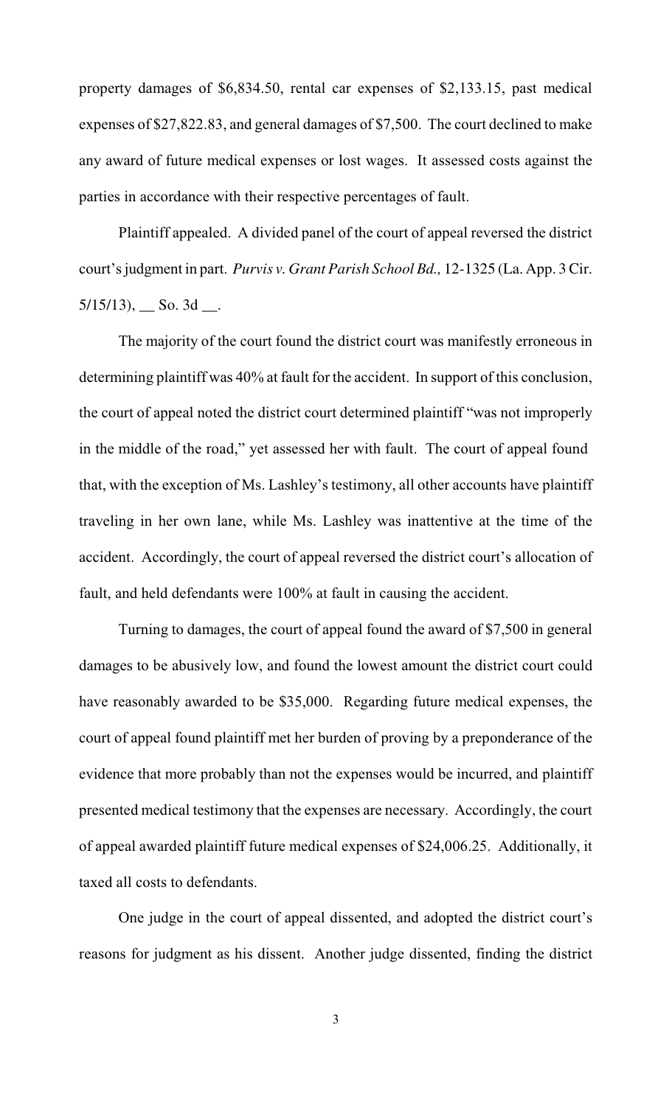property damages of \$6,834.50, rental car expenses of \$2,133.15, past medical expenses of \$27,822.83, and general damages of \$7,500. The court declined to make any award of future medical expenses or lost wages. It assessed costs against the parties in accordance with their respective percentages of fault.

Plaintiff appealed. A divided panel of the court of appeal reversed the district court's judgment in part. *Purvis v. Grant Parish School Bd.,* 12-1325 (La. App. 3 Cir.  $5/15/13$ , So. 3d \_\_.

The majority of the court found the district court was manifestly erroneous in determining plaintiff was 40% at fault for the accident. In support of this conclusion, the court of appeal noted the district court determined plaintiff "was not improperly in the middle of the road," yet assessed her with fault. The court of appeal found that, with the exception of Ms. Lashley's testimony, all other accounts have plaintiff traveling in her own lane, while Ms. Lashley was inattentive at the time of the accident. Accordingly, the court of appeal reversed the district court's allocation of fault, and held defendants were 100% at fault in causing the accident.

Turning to damages, the court of appeal found the award of \$7,500 in general damages to be abusively low, and found the lowest amount the district court could have reasonably awarded to be \$35,000. Regarding future medical expenses, the court of appeal found plaintiff met her burden of proving by a preponderance of the evidence that more probably than not the expenses would be incurred, and plaintiff presented medical testimony that the expenses are necessary. Accordingly, the court of appeal awarded plaintiff future medical expenses of \$24,006.25. Additionally, it taxed all costs to defendants.

One judge in the court of appeal dissented, and adopted the district court's reasons for judgment as his dissent. Another judge dissented, finding the district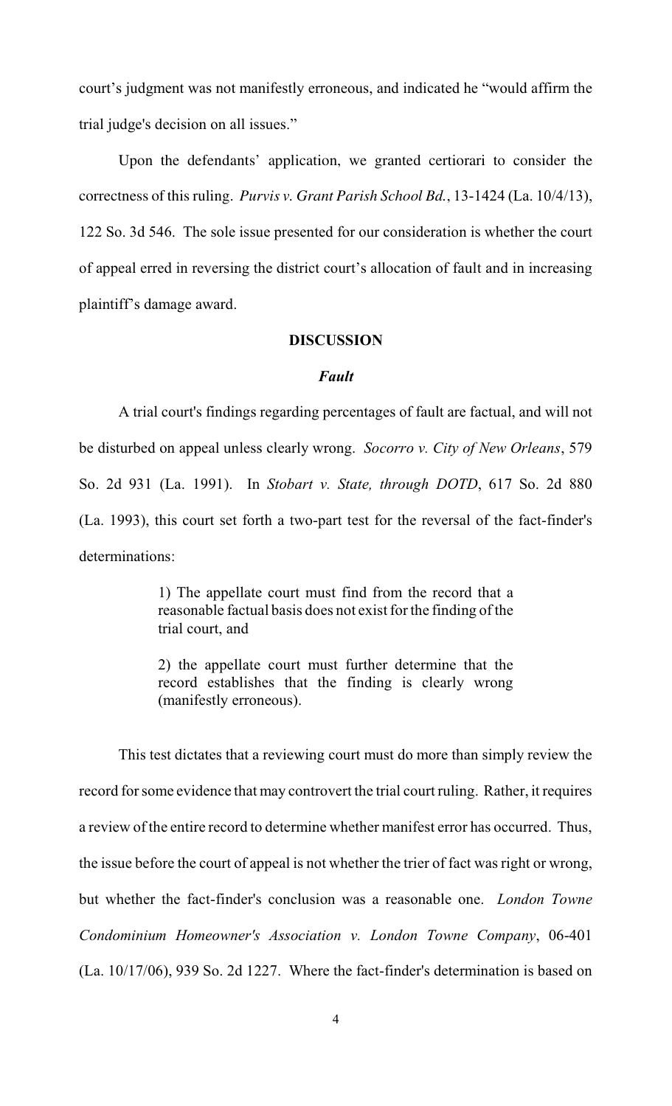court's judgment was not manifestly erroneous, and indicated he "would affirm the trial judge's decision on all issues."

Upon the defendants' application, we granted certiorari to consider the correctness of this ruling. *Purvis v. Grant Parish School Bd.*, 13-1424 (La. 10/4/13), 122 So. 3d 546. The sole issue presented for our consideration is whether the court of appeal erred in reversing the district court's allocation of fault and in increasing plaintiff's damage award.

#### **DISCUSSION**

#### *Fault*

A trial court's findings regarding percentages of fault are factual, and will not be disturbed on appeal unless clearly wrong. *Socorro v. City of New Orleans*, 579 So. 2d 931 (La. 1991). In *Stobart v. State, through DOTD*, 617 So. 2d 880 (La. 1993), this court set forth a two-part test for the reversal of the fact-finder's determinations:

> 1) The appellate court must find from the record that a reasonable factual basis does not exist for the finding of the trial court, and

> 2) the appellate court must further determine that the record establishes that the finding is clearly wrong (manifestly erroneous).

This test dictates that a reviewing court must do more than simply review the record for some evidence that may controvert the trial court ruling. Rather, it requires a review of the entire record to determine whether manifest error has occurred. Thus, the issue before the court of appeal is not whether the trier of fact was right or wrong, but whether the fact-finder's conclusion was a reasonable one. *London Towne Condominium Homeowner's Association v. London Towne Company*, 06-401 (La. 10/17/06), 939 So. 2d 1227. Where the fact-finder's determination is based on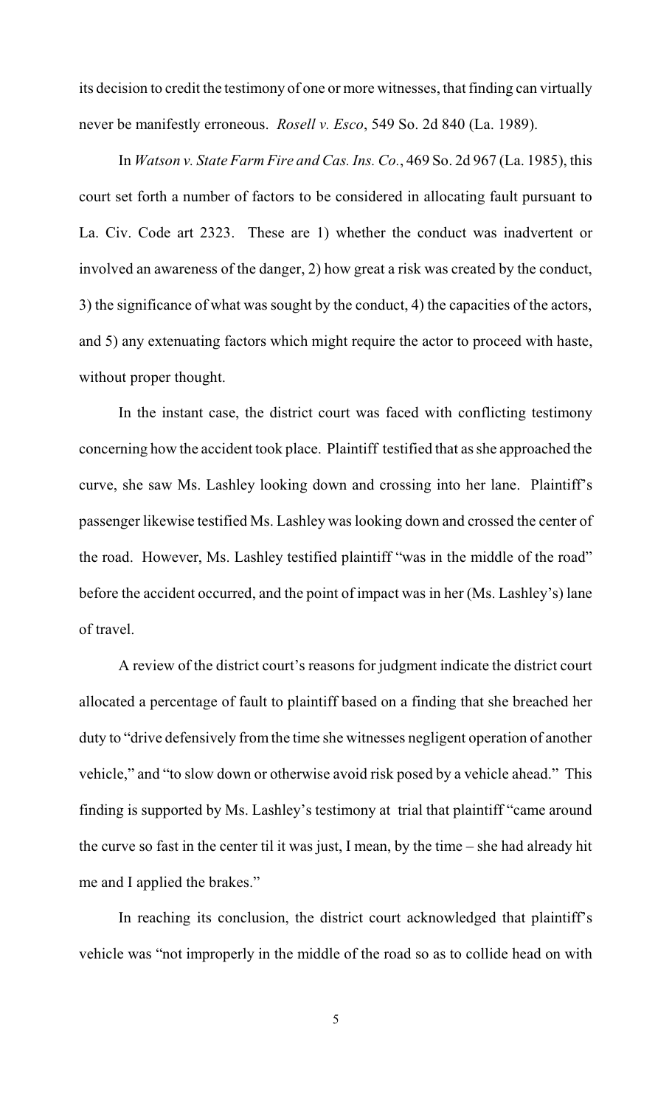its decision to credit the testimony of one or more witnesses, that finding can virtually never be manifestly erroneous. *Rosell v. Esco*, 549 So. 2d 840 (La. 1989).

In *Watson v. State Farm Fire and Cas. Ins. Co.*, 469 So. 2d 967 (La. 1985), this court set forth a number of factors to be considered in allocating fault pursuant to La. Civ. Code art 2323. These are 1) whether the conduct was inadvertent or involved an awareness of the danger, 2) how great a risk was created by the conduct, 3) the significance of what was sought by the conduct, 4) the capacities of the actors, and 5) any extenuating factors which might require the actor to proceed with haste, without proper thought.

In the instant case, the district court was faced with conflicting testimony concerning how the accident took place. Plaintiff testified that asshe approached the curve, she saw Ms. Lashley looking down and crossing into her lane. Plaintiff's passenger likewise testified Ms. Lashley was looking down and crossed the center of the road. However, Ms. Lashley testified plaintiff "was in the middle of the road" before the accident occurred, and the point of impact was in her (Ms. Lashley's) lane of travel.

A review of the district court's reasons for judgment indicate the district court allocated a percentage of fault to plaintiff based on a finding that she breached her duty to "drive defensively fromthe time she witnesses negligent operation of another vehicle," and "to slow down or otherwise avoid risk posed by a vehicle ahead." This finding is supported by Ms. Lashley's testimony at trial that plaintiff "came around the curve so fast in the center til it was just, I mean, by the time – she had already hit me and I applied the brakes."

In reaching its conclusion, the district court acknowledged that plaintiff's vehicle was "not improperly in the middle of the road so as to collide head on with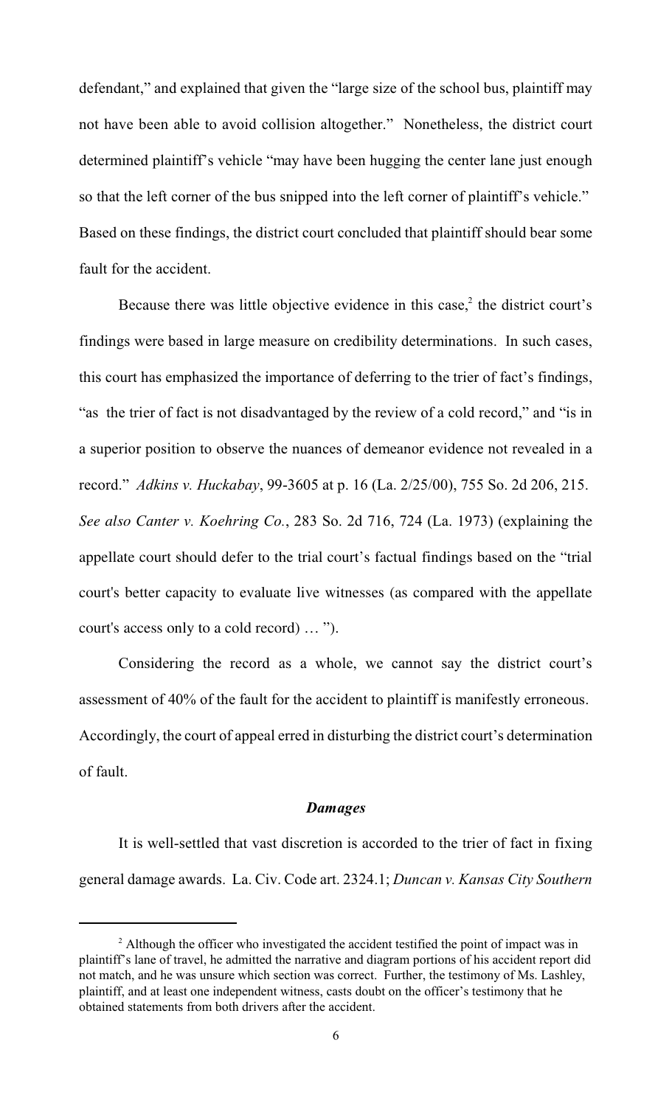defendant," and explained that given the "large size of the school bus, plaintiff may not have been able to avoid collision altogether." Nonetheless, the district court determined plaintiff's vehicle "may have been hugging the center lane just enough so that the left corner of the bus snipped into the left corner of plaintiff's vehicle." Based on these findings, the district court concluded that plaintiff should bear some fault for the accident.

Because there was little objective evidence in this case, $<sup>2</sup>$  the district court's</sup> findings were based in large measure on credibility determinations. In such cases, this court has emphasized the importance of deferring to the trier of fact's findings, "as the trier of fact is not disadvantaged by the review of a cold record," and "is in a superior position to observe the nuances of demeanor evidence not revealed in a record." *Adkins v. Huckabay*, 99-3605 at p. 16 (La. 2/25/00), 755 So. 2d 206, 215. *See also Canter v. Koehring Co.*, 283 So. 2d 716, 724 (La. 1973) (explaining the appellate court should defer to the trial court's factual findings based on the "trial court's better capacity to evaluate live witnesses (as compared with the appellate court's access only to a cold record) … ").

Considering the record as a whole, we cannot say the district court's assessment of 40% of the fault for the accident to plaintiff is manifestly erroneous. Accordingly, the court of appeal erred in disturbing the district court's determination of fault.

#### *Damages*

It is well-settled that vast discretion is accorded to the trier of fact in fixing general damage awards. La. Civ. Code art. 2324.1; *Duncan v. Kansas City Southern*

<sup>&</sup>lt;sup>2</sup> Although the officer who investigated the accident testified the point of impact was in plaintiff's lane of travel, he admitted the narrative and diagram portions of his accident report did not match, and he was unsure which section was correct. Further, the testimony of Ms. Lashley, plaintiff, and at least one independent witness, casts doubt on the officer's testimony that he obtained statements from both drivers after the accident.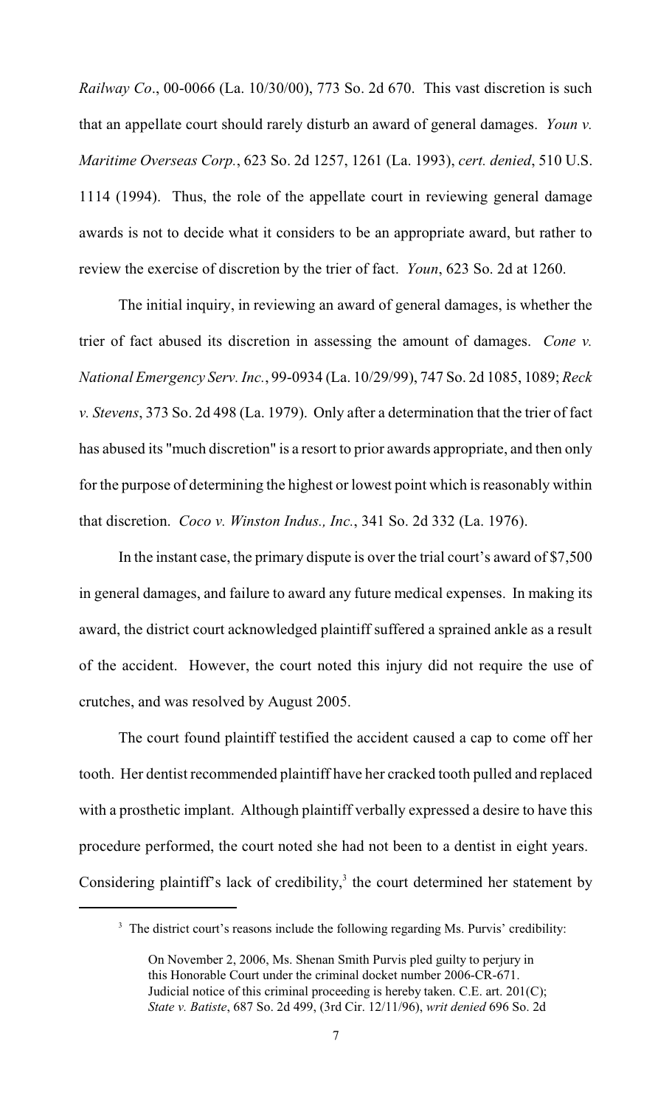*Railway Co*., 00-0066 (La. 10/30/00), 773 So. 2d 670. This vast discretion is such that an appellate court should rarely disturb an award of general damages. *Youn v. Maritime Overseas Corp.*, 623 So. 2d 1257, 1261 (La. 1993), *cert. denied*, 510 U.S. 1114 (1994). Thus, the role of the appellate court in reviewing general damage awards is not to decide what it considers to be an appropriate award, but rather to review the exercise of discretion by the trier of fact. *Youn*, 623 So. 2d at 1260.

The initial inquiry, in reviewing an award of general damages, is whether the trier of fact abused its discretion in assessing the amount of damages. *Cone v. National Emergency Serv. Inc.*, 99-0934 (La. 10/29/99), 747 So. 2d 1085, 1089; *Reck v. Stevens*, 373 So. 2d 498 (La. 1979). Only after a determination that the trier of fact has abused its "much discretion" is a resort to prior awards appropriate, and then only for the purpose of determining the highest or lowest point which is reasonably within that discretion. *Coco v. Winston Indus., Inc.*, 341 So. 2d 332 (La. 1976).

In the instant case, the primary dispute is over the trial court's award of \$7,500 in general damages, and failure to award any future medical expenses. In making its award, the district court acknowledged plaintiff suffered a sprained ankle as a result of the accident. However, the court noted this injury did not require the use of crutches, and was resolved by August 2005.

The court found plaintiff testified the accident caused a cap to come off her tooth. Her dentist recommended plaintiff have her cracked tooth pulled and replaced with a prosthetic implant. Although plaintiff verbally expressed a desire to have this procedure performed, the court noted she had not been to a dentist in eight years. Considering plaintiff's lack of credibility, $3$  the court determined her statement by

 $3$  The district court's reasons include the following regarding Ms. Purvis' credibility:

On November 2, 2006, Ms. Shenan Smith Purvis pled guilty to perjury in this Honorable Court under the criminal docket number 2006-CR-671. Judicial notice of this criminal proceeding is hereby taken. C.E. art. 201(C); *State v. Batiste*, 687 So. 2d 499, (3rd Cir. 12/11/96), *writ denied* 696 So. 2d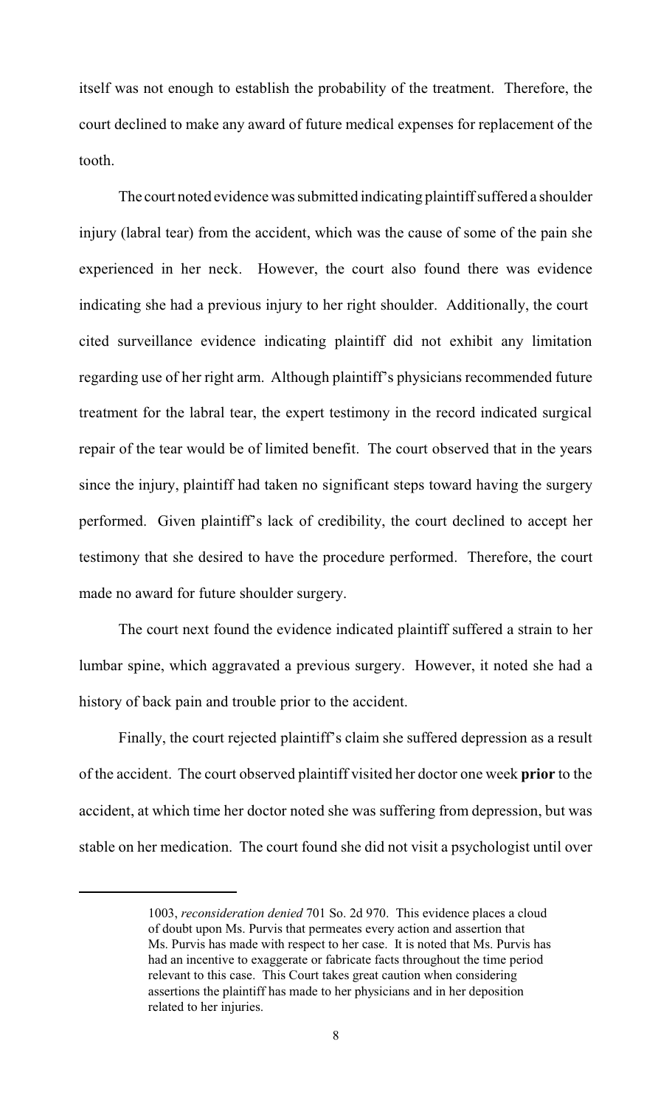itself was not enough to establish the probability of the treatment. Therefore, the court declined to make any award of future medical expenses for replacement of the tooth.

The court noted evidence was submitted indicating plaintiff suffered a shoulder injury (labral tear) from the accident, which was the cause of some of the pain she experienced in her neck. However, the court also found there was evidence indicating she had a previous injury to her right shoulder. Additionally, the court cited surveillance evidence indicating plaintiff did not exhibit any limitation regarding use of her right arm. Although plaintiff's physicians recommended future treatment for the labral tear, the expert testimony in the record indicated surgical repair of the tear would be of limited benefit. The court observed that in the years since the injury, plaintiff had taken no significant steps toward having the surgery performed. Given plaintiff's lack of credibility, the court declined to accept her testimony that she desired to have the procedure performed. Therefore, the court made no award for future shoulder surgery.

The court next found the evidence indicated plaintiff suffered a strain to her lumbar spine, which aggravated a previous surgery. However, it noted she had a history of back pain and trouble prior to the accident.

Finally, the court rejected plaintiff's claim she suffered depression as a result of the accident. The court observed plaintiff visited her doctor one week **prior** to the accident, at which time her doctor noted she was suffering from depression, but was stable on her medication. The court found she did not visit a psychologist until over

<sup>1003,</sup> *reconsideration denied* 701 So. 2d 970. This evidence places a cloud of doubt upon Ms. Purvis that permeates every action and assertion that Ms. Purvis has made with respect to her case. It is noted that Ms. Purvis has had an incentive to exaggerate or fabricate facts throughout the time period relevant to this case. This Court takes great caution when considering assertions the plaintiff has made to her physicians and in her deposition related to her injuries.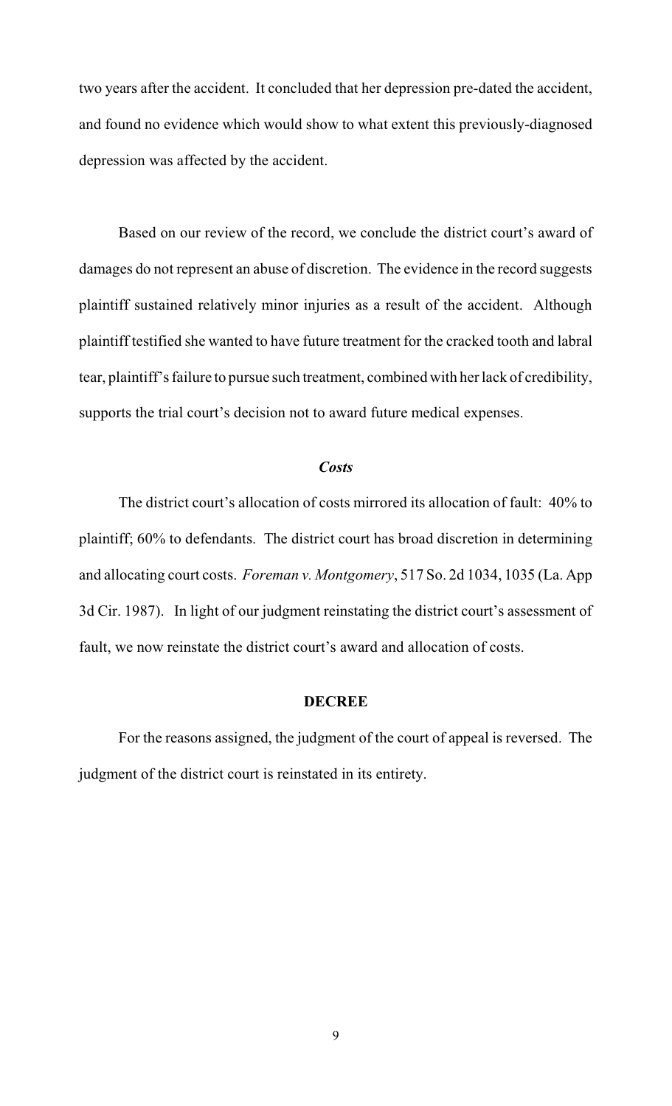two years after the accident. It concluded that her depression pre-dated the accident, and found no evidence which would show to what extent this previously-diagnosed depression was affected by the accident.

Based on our review of the record, we conclude the district court's award of damages do not represent an abuse of discretion. The evidence in the record suggests plaintiff sustained relatively minor injuries as a result of the accident. Although plaintiff testified she wanted to have future treatment for the cracked tooth and labral tear, plaintiff's failure to pursue such treatment, combined with her lack of credibility, supports the trial court's decision not to award future medical expenses.

#### *Costs*

The district court's allocation of costs mirrored its allocation of fault: 40% to plaintiff; 60% to defendants. The district court has broad discretion in determining and allocating court costs. *Foreman v. Montgomery*, 517 So. 2d 1034, 1035 (La. App 3d Cir. 1987). In light of our judgment reinstating the district court's assessment of fault, we now reinstate the district court's award and allocation of costs.

#### **DECREE**

For the reasons assigned, the judgment of the court of appeal is reversed. The judgment of the district court is reinstated in its entirety.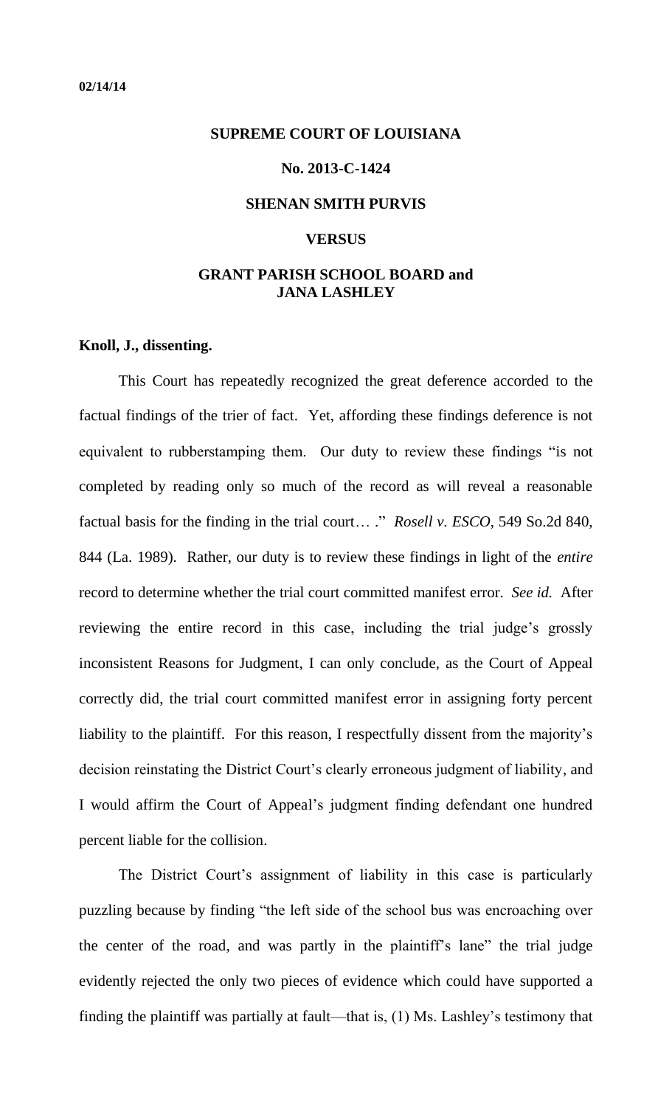# <span id="page-10-0"></span>**SUPREME COURT OF LOUISIANA**

#### **No. 2013-C-1424**

#### **SHENAN SMITH PURVIS**

#### **VERSUS**

## **GRANT PARISH SCHOOL BOARD and JANA LASHLEY**

#### **Knoll, J., dissenting.**

This Court has repeatedly recognized the great deference accorded to the factual findings of the trier of fact. Yet, affording these findings deference is not equivalent to rubberstamping them. Our duty to review these findings "is not completed by reading only so much of the record as will reveal a reasonable factual basis for the finding in the trial court… ." *Rosell v. ESCO*, 549 So.2d 840, 844 (La. 1989). Rather, our duty is to review these findings in light of the *entire* record to determine whether the trial court committed manifest error. *See id.* After reviewing the entire record in this case, including the trial judge's grossly inconsistent Reasons for Judgment, I can only conclude, as the Court of Appeal correctly did, the trial court committed manifest error in assigning forty percent liability to the plaintiff. For this reason, I respectfully dissent from the majority's decision reinstating the District Court's clearly erroneous judgment of liability, and I would affirm the Court of Appeal's judgment finding defendant one hundred percent liable for the collision.

The District Court's assignment of liability in this case is particularly puzzling because by finding "the left side of the school bus was encroaching over the center of the road, and was partly in the plaintiff's lane" the trial judge evidently rejected the only two pieces of evidence which could have supported a finding the plaintiff was partially at fault—that is, (1) Ms. Lashley's testimony that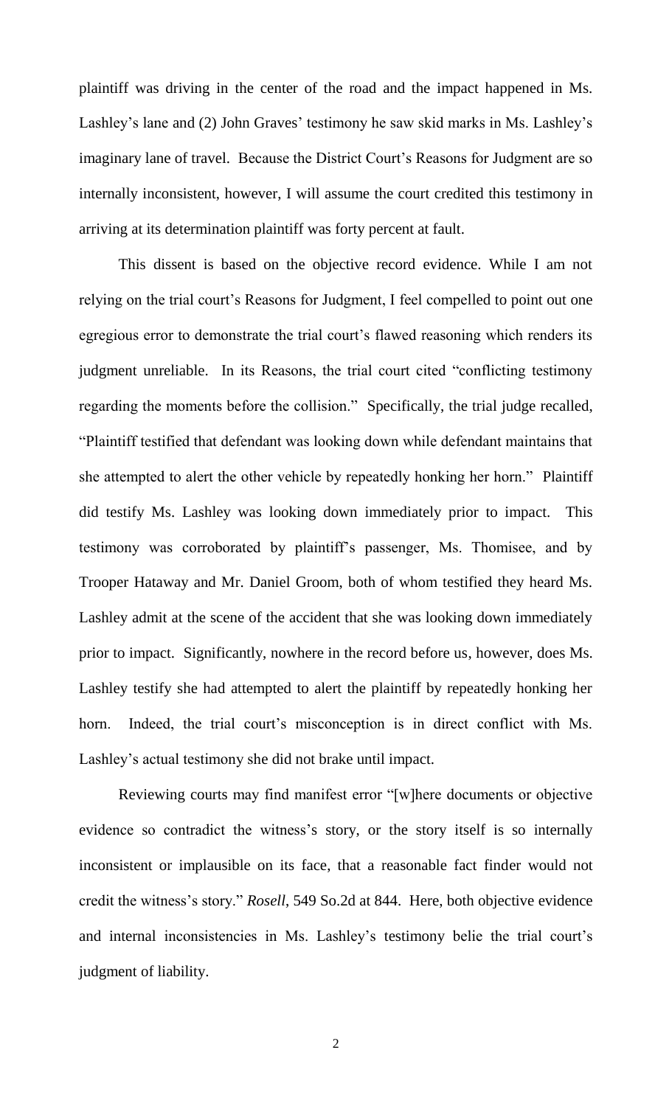plaintiff was driving in the center of the road and the impact happened in Ms. Lashley's lane and (2) John Graves' testimony he saw skid marks in Ms. Lashley's imaginary lane of travel. Because the District Court's Reasons for Judgment are so internally inconsistent, however, I will assume the court credited this testimony in arriving at its determination plaintiff was forty percent at fault.

This dissent is based on the objective record evidence. While I am not relying on the trial court's Reasons for Judgment, I feel compelled to point out one egregious error to demonstrate the trial court's flawed reasoning which renders its judgment unreliable. In its Reasons, the trial court cited "conflicting testimony regarding the moments before the collision." Specifically, the trial judge recalled, "Plaintiff testified that defendant was looking down while defendant maintains that she attempted to alert the other vehicle by repeatedly honking her horn." Plaintiff did testify Ms. Lashley was looking down immediately prior to impact. This testimony was corroborated by plaintiff's passenger, Ms. Thomisee, and by Trooper Hataway and Mr. Daniel Groom, both of whom testified they heard Ms. Lashley admit at the scene of the accident that she was looking down immediately prior to impact. Significantly, nowhere in the record before us, however, does Ms. Lashley testify she had attempted to alert the plaintiff by repeatedly honking her horn. Indeed, the trial court's misconception is in direct conflict with Ms. Lashley's actual testimony she did not brake until impact.

 Reviewing courts may find manifest error "[w]here documents or objective evidence so contradict the witness's story, or the story itself is so internally inconsistent or implausible on its face, that a reasonable fact finder would not credit the witness's story." *Rosell*, 549 So.2d at 844. Here, both objective evidence and internal inconsistencies in Ms. Lashley's testimony belie the trial court's judgment of liability.

2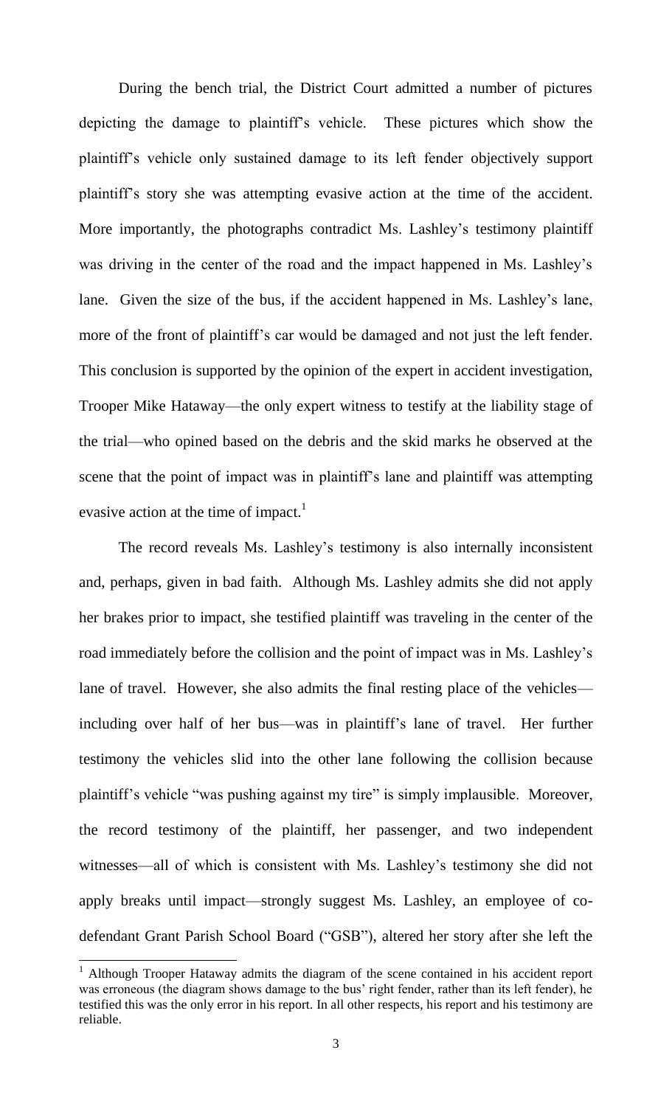During the bench trial, the District Court admitted a number of pictures depicting the damage to plaintiff's vehicle. These pictures which show the plaintiff's vehicle only sustained damage to its left fender objectively support plaintiff's story she was attempting evasive action at the time of the accident. More importantly, the photographs contradict Ms. Lashley's testimony plaintiff was driving in the center of the road and the impact happened in Ms. Lashley's lane. Given the size of the bus, if the accident happened in Ms. Lashley's lane, more of the front of plaintiff's car would be damaged and not just the left fender. This conclusion is supported by the opinion of the expert in accident investigation, Trooper Mike Hataway—the only expert witness to testify at the liability stage of the trial—who opined based on the debris and the skid marks he observed at the scene that the point of impact was in plaintiff's lane and plaintiff was attempting evasive action at the time of impact.<sup>1</sup>

The record reveals Ms. Lashley's testimony is also internally inconsistent and, perhaps, given in bad faith. Although Ms. Lashley admits she did not apply her brakes prior to impact, she testified plaintiff was traveling in the center of the road immediately before the collision and the point of impact was in Ms. Lashley's lane of travel. However, she also admits the final resting place of the vehicles including over half of her bus—was in plaintiff's lane of travel. Her further testimony the vehicles slid into the other lane following the collision because plaintiff's vehicle "was pushing against my tire" is simply implausible. Moreover, the record testimony of the plaintiff, her passenger, and two independent witnesses—all of which is consistent with Ms. Lashley's testimony she did not apply breaks until impact—strongly suggest Ms. Lashley, an employee of codefendant Grant Parish School Board ("GSB"), altered her story after she left the

 $\overline{a}$ 

<sup>&</sup>lt;sup>1</sup> Although Trooper Hataway admits the diagram of the scene contained in his accident report was erroneous (the diagram shows damage to the bus' right fender, rather than its left fender), he testified this was the only error in his report. In all other respects, his report and his testimony are reliable.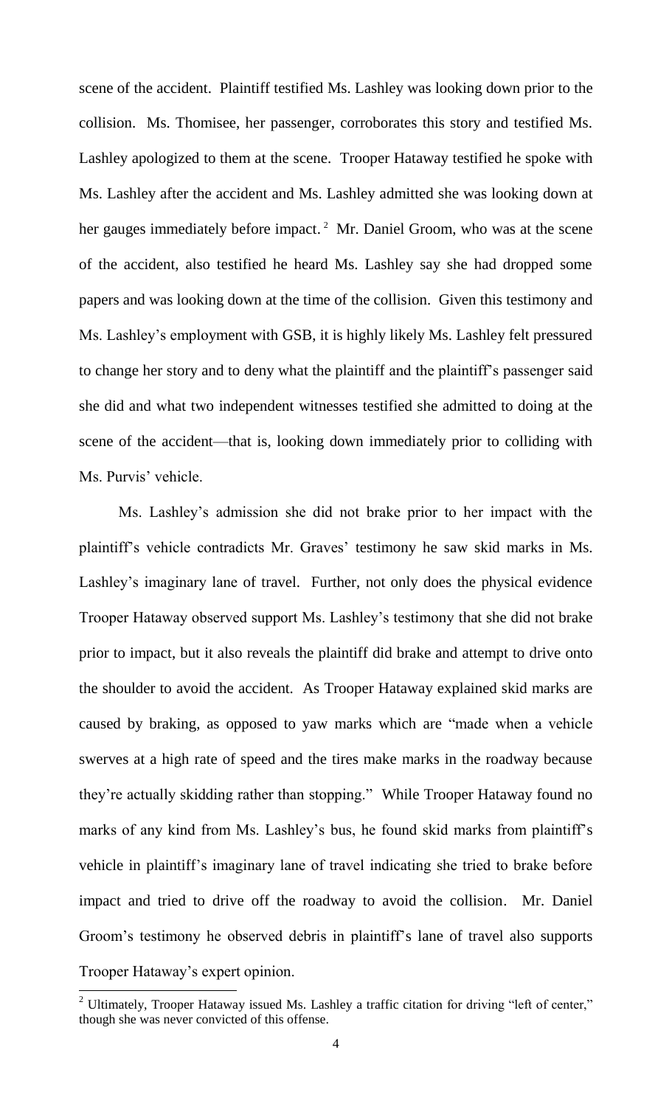scene of the accident. Plaintiff testified Ms. Lashley was looking down prior to the collision. Ms. Thomisee, her passenger, corroborates this story and testified Ms. Lashley apologized to them at the scene. Trooper Hataway testified he spoke with Ms. Lashley after the accident and Ms. Lashley admitted she was looking down at her gauges immediately before impact.<sup>2</sup> Mr. Daniel Groom, who was at the scene of the accident, also testified he heard Ms. Lashley say she had dropped some papers and was looking down at the time of the collision. Given this testimony and Ms. Lashley's employment with GSB, it is highly likely Ms. Lashley felt pressured to change her story and to deny what the plaintiff and the plaintiff's passenger said she did and what two independent witnesses testified she admitted to doing at the scene of the accident—that is, looking down immediately prior to colliding with Ms. Purvis' vehicle.

Ms. Lashley's admission she did not brake prior to her impact with the plaintiff's vehicle contradicts Mr. Graves' testimony he saw skid marks in Ms. Lashley's imaginary lane of travel. Further, not only does the physical evidence Trooper Hataway observed support Ms. Lashley's testimony that she did not brake prior to impact, but it also reveals the plaintiff did brake and attempt to drive onto the shoulder to avoid the accident. As Trooper Hataway explained skid marks are caused by braking, as opposed to yaw marks which are "made when a vehicle swerves at a high rate of speed and the tires make marks in the roadway because they're actually skidding rather than stopping." While Trooper Hataway found no marks of any kind from Ms. Lashley's bus, he found skid marks from plaintiff's vehicle in plaintiff's imaginary lane of travel indicating she tried to brake before impact and tried to drive off the roadway to avoid the collision. Mr. Daniel Groom's testimony he observed debris in plaintiff's lane of travel also supports Trooper Hataway's expert opinion.

 $\overline{a}$ 

<sup>&</sup>lt;sup>2</sup> Ultimately, Trooper Hataway issued Ms. Lashley a traffic citation for driving "left of center," though she was never convicted of this offense.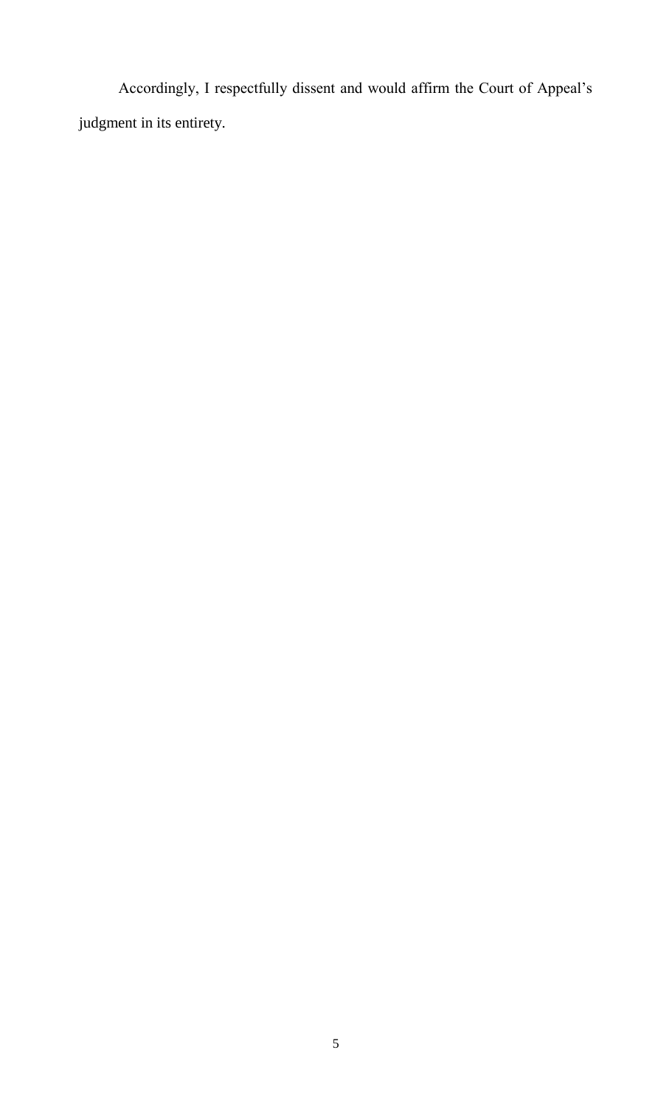Accordingly, I respectfully dissent and would affirm the Court of Appeal's judgment in its entirety.